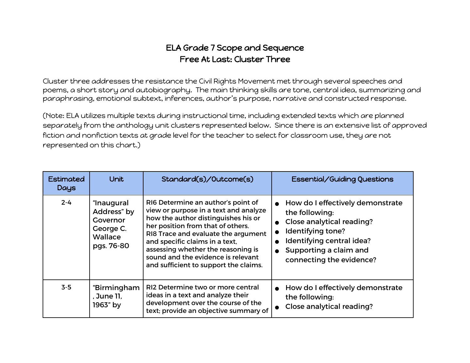## ELA Grade 7 Scope and Sequence Free At Last: Cluster Three

Cluster three addresses the resistance the Civil Rights Movement met through several speeches and poems, a short story and autobiography. The main thinking skills are tone, central idea, summarizing and paraphrasing, emotional subtext, inferences, author's purpose, narrative and constructed response.

(Note: ELA utilizes multiple texts during instructional time, including extended texts which are planned separately from the anthology unit clusters represented below. Since there is an extensive list of approved fiction and nonfiction texts at grade level for the teacher to select for classroom use, they are not represented on this chart.)

| <b>Estimated</b><br>Days | Unit                                                                               | Standard(s)/Outcome(s)                                                                                                                                                                                                                                                                                                                                | <b>Essential/Guiding Questions</b>                                                                                                                                                        |
|--------------------------|------------------------------------------------------------------------------------|-------------------------------------------------------------------------------------------------------------------------------------------------------------------------------------------------------------------------------------------------------------------------------------------------------------------------------------------------------|-------------------------------------------------------------------------------------------------------------------------------------------------------------------------------------------|
| $2 - 4$                  | "Inaugural<br>Address" by<br>Governor<br>George C.<br><b>Wallace</b><br>pgs. 76-80 | RI6 Determine an author's point of<br>view or purpose in a text and analyze<br>how the author distinguishes his or<br>her position from that of others.<br>RI8 Trace and evaluate the argument<br>and specific claims in a text,<br>assessing whether the reasoning is<br>sound and the evidence is relevant<br>and sufficient to support the claims. | • How do I effectively demonstrate<br>the following:<br>Close analytical reading?<br>Identifying tone?<br>Identifying central idea?<br>Supporting a claim and<br>connecting the evidence? |
| $3 - 5$                  | "Birmingham<br>, June 11,<br>1963" by                                              | RI2 Determine two or more central<br>ideas in a text and analyze their<br>development over the course of the<br>text; provide an objective summary of                                                                                                                                                                                                 | • How do I effectively demonstrate<br>the following:<br>Close analytical reading?                                                                                                         |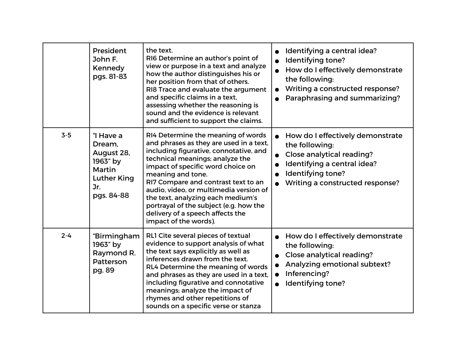|         | President<br>John F.<br>Kennedy<br>pgs. 81-83                                                      | the text.<br>RI6 Determine an author's point of<br>view or purpose in a text and analyze<br>how the author distinguishes his or<br>her position from that of others.<br>RI8 Trace and evaluate the argument<br>and specific claims in a text,<br>assessing whether the reasoning is<br>sound and the evidence is relevant<br>and sufficient to support the claims.                                                                                | Identifying a central idea?<br>Identifying tone?<br>How do I effectively demonstrate<br>the following:<br>Writing a constructed response?<br>Paraphrasing and summarizing?    |
|---------|----------------------------------------------------------------------------------------------------|---------------------------------------------------------------------------------------------------------------------------------------------------------------------------------------------------------------------------------------------------------------------------------------------------------------------------------------------------------------------------------------------------------------------------------------------------|-------------------------------------------------------------------------------------------------------------------------------------------------------------------------------|
| $3-5$   | "I Have a<br>Dream.<br>August 28,<br>1963" by<br>Martin<br><b>Luther King</b><br>Jr.<br>pgs. 84-88 | RI4 Determine the meaning of words<br>and phrases as they are used in a text,<br>including figurative, connotative, and<br>technical meanings; analyze the<br>impact of specific word choice on<br>meaning and tone.<br>RI7 Compare and contrast text to an<br>audio, video, or multimedia version of<br>the text, analyzing each medium's<br>portrayal of the subject (e.g. how the<br>delivery of a speech affects the<br>impact of the words). | How do I effectively demonstrate<br>the following:<br><b>Close analytical reading?</b><br>Identifying a central idea?<br>Identifying tone?<br>Writing a constructed response? |
| $2 - 4$ | "Birmingham<br>1963" by<br>Raymond R.<br>Patterson<br>pg. 89                                       | RLI Cite several pieces of textual<br>evidence to support analysis of what<br>the text says explicitly as well as<br>inferences drawn from the text.<br>RL4 Determine the meaning of words<br>and phrases as they are used in a text,<br>including figurative and connotative<br>meanings; analyze the impact of<br>rhymes and other repetitions of<br>sounds on a specific verse or stanza                                                       | How do I effectively demonstrate<br>the following:<br><b>Close analytical reading?</b><br>Analyzing emotional subtext?<br>Inferencing?<br>Identifying tone?                   |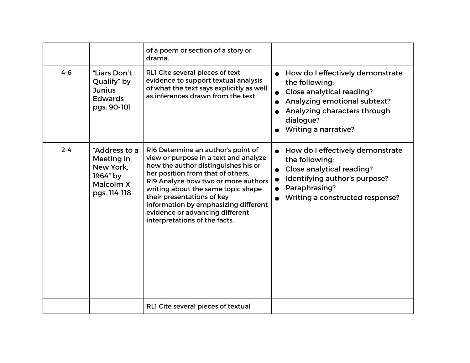|         |                                                                                   | of a poem or section of a story or<br>drama.                                                                                                                                                                                                                                                                                                                                   |                                                                                                                                                                                             |
|---------|-----------------------------------------------------------------------------------|--------------------------------------------------------------------------------------------------------------------------------------------------------------------------------------------------------------------------------------------------------------------------------------------------------------------------------------------------------------------------------|---------------------------------------------------------------------------------------------------------------------------------------------------------------------------------------------|
| $4 - 6$ | "Liars Don't<br>Qualify" by<br><b>Junius</b><br><b>Edwards</b><br>pgs. 90-101     | RL1 Cite several pieces of text<br>evidence to support textual analysis<br>of what the text says explicitly as well<br>as inferences drawn from the text.                                                                                                                                                                                                                      | How do I effectively demonstrate<br>the following:<br>Close analytical reading?<br>Analyzing emotional subtext?<br>Analyzing characters through<br>dialogue?<br><b>Writing a narrative?</b> |
| $2 - 4$ | "Address to a<br>Meeting in<br>New York,<br>1964" by<br>Malcolm X<br>pgs. 114-118 | RI6 Determine an author's point of<br>view or purpose in a text and analyze<br>how the author distinguishes his or<br>her position from that of others.<br>RI9 Analyze how two or more authors<br>writing about the same topic shape<br>their presentations of key<br>information by emphasizing different<br>evidence or advancing different<br>interpretations of the facts. | How do I effectively demonstrate<br>the following:<br>Close analytical reading?<br>Identifying author's purpose?<br>Paraphrasing?<br>Writing a constructed response?                        |
|         |                                                                                   | RLI Cite several pieces of textual                                                                                                                                                                                                                                                                                                                                             |                                                                                                                                                                                             |